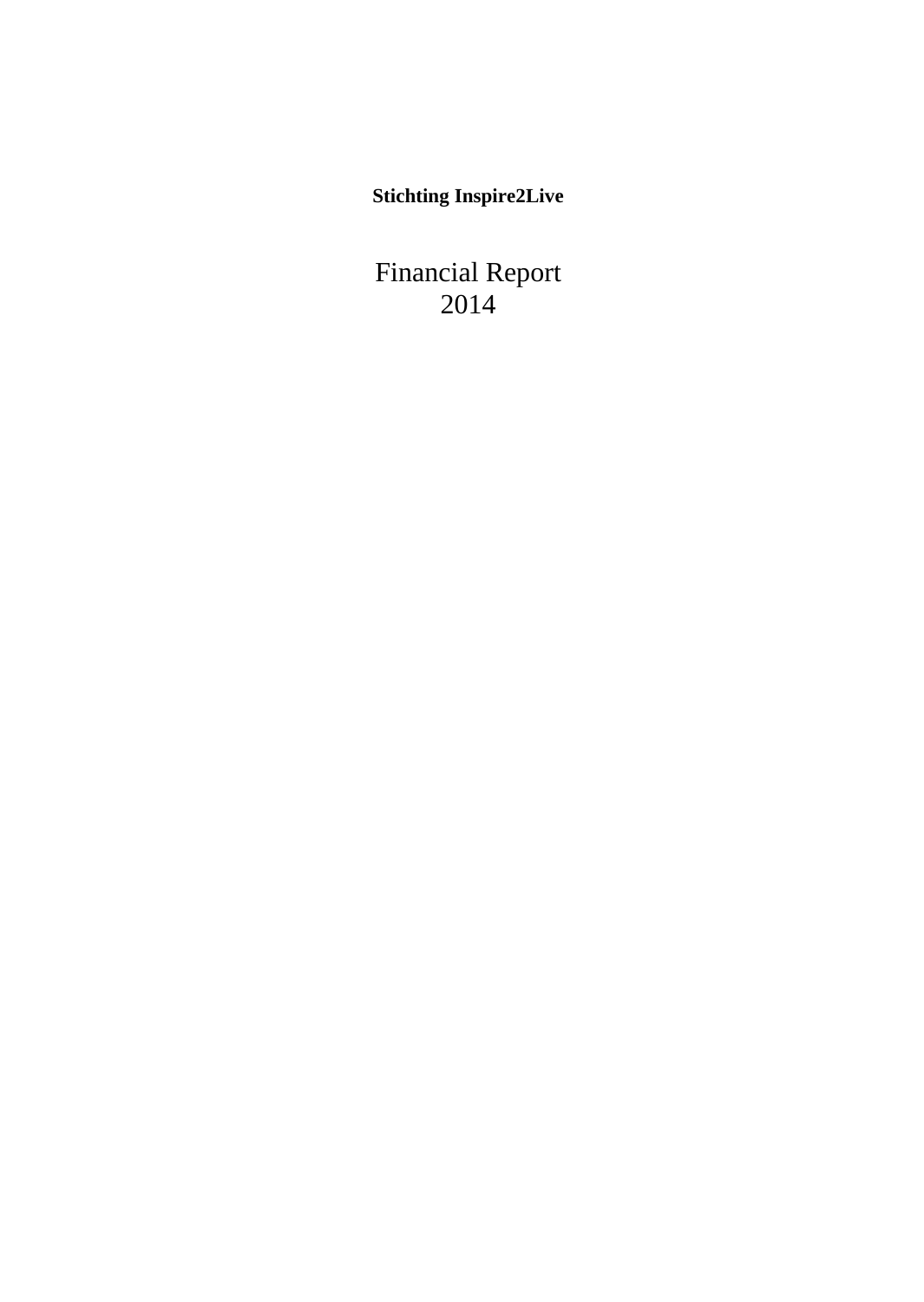**Stichting Inspire2Live**

Financial Report 2014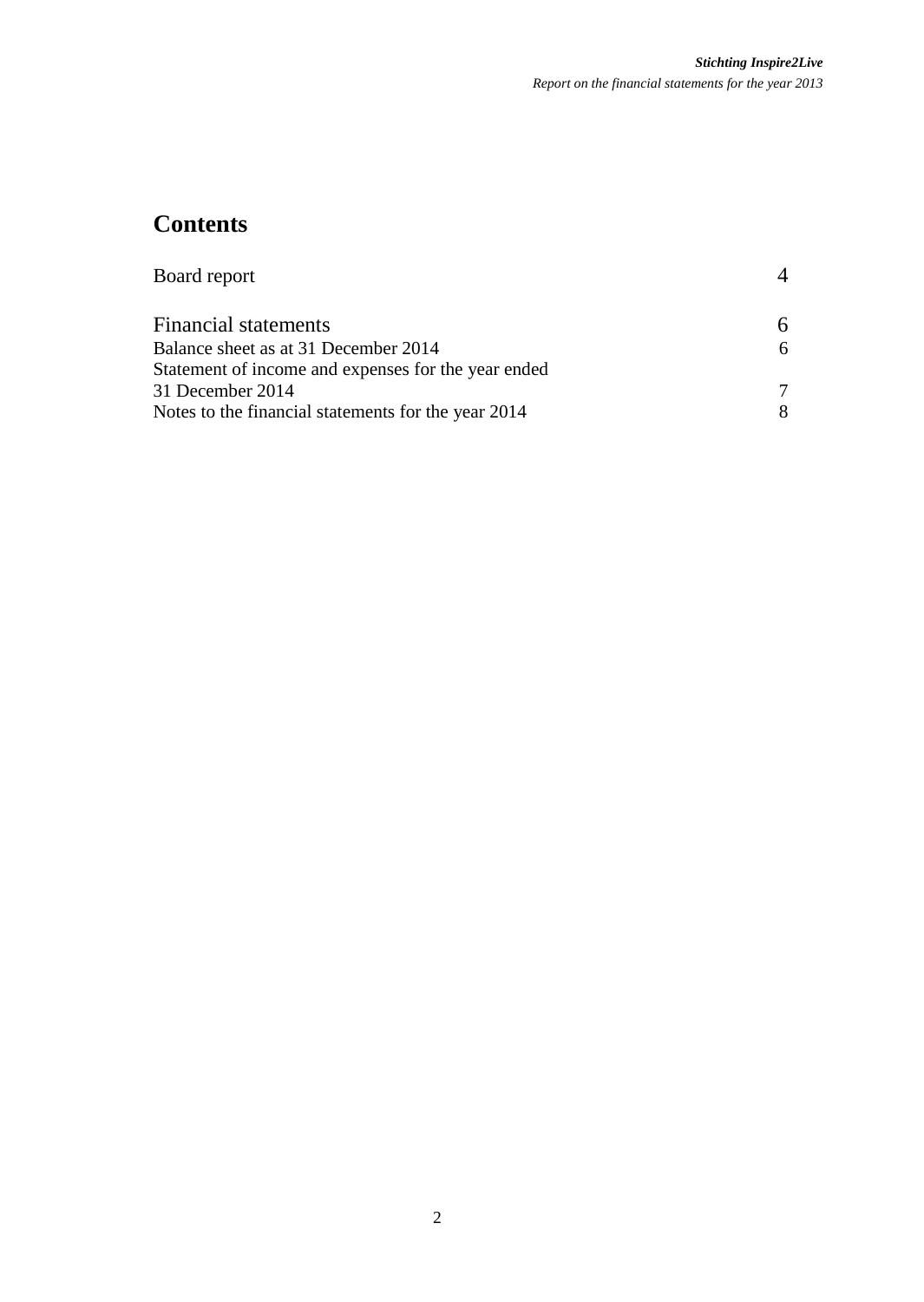# **Contents**

| Board report                                        |   |
|-----------------------------------------------------|---|
| Financial statements                                | 6 |
| Balance sheet as at 31 December 2014                | 6 |
| Statement of income and expenses for the year ended |   |
| 31 December 2014                                    |   |
| Notes to the financial statements for the year 2014 | 8 |
|                                                     |   |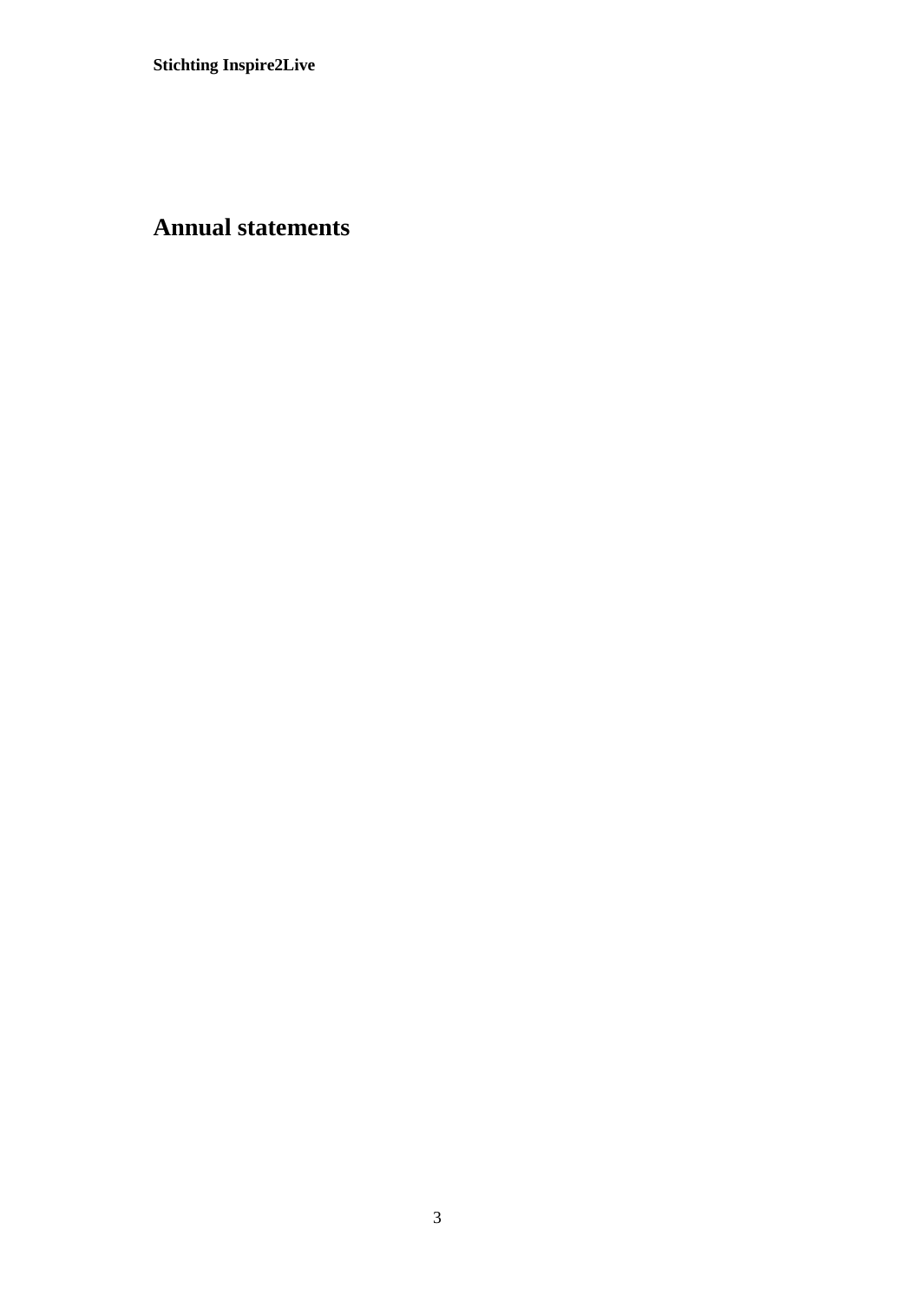# **Annual statements**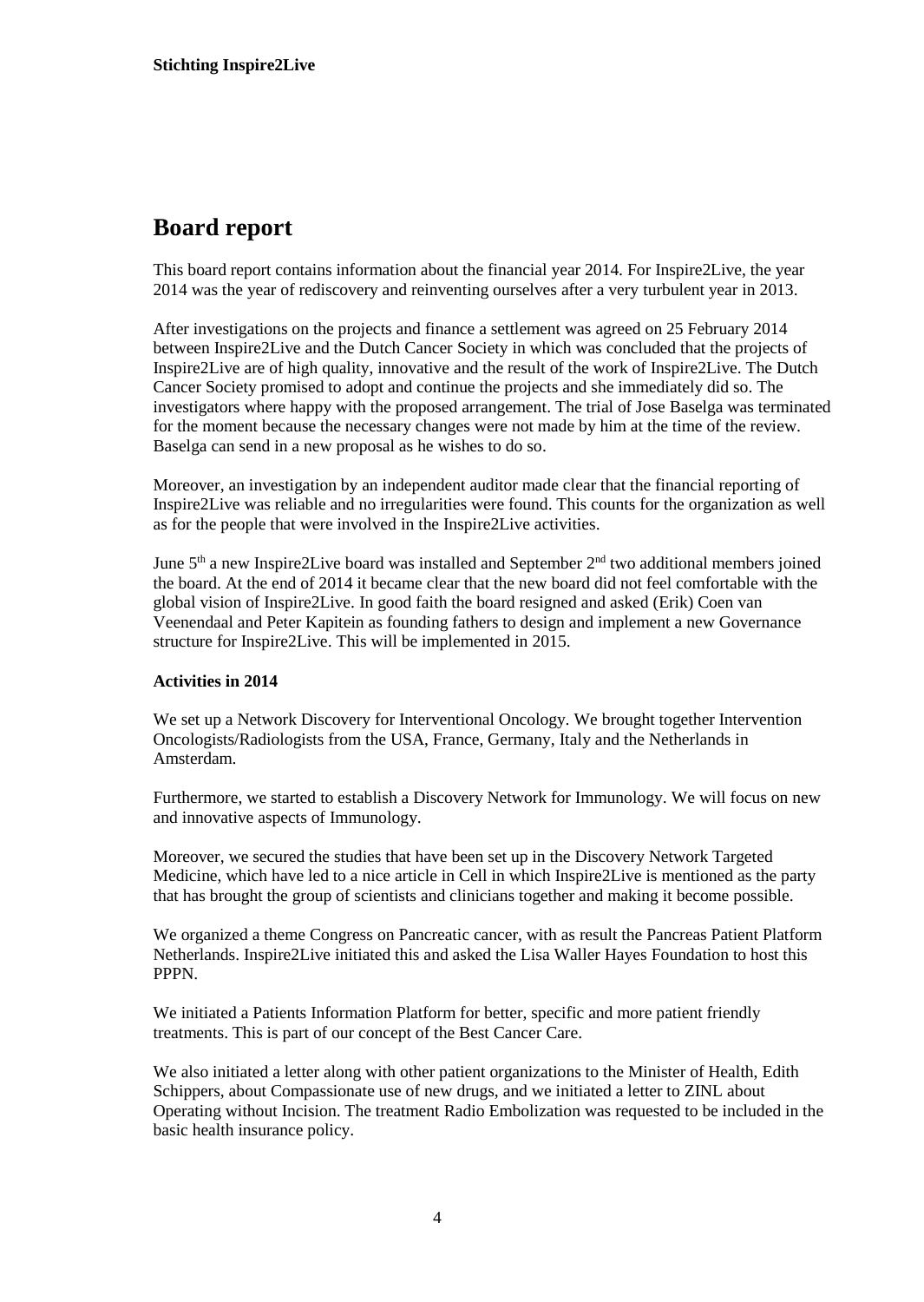## **Board report**

This board report contains information about the financial year 2014. For Inspire2Live, the year 2014 was the year of rediscovery and reinventing ourselves after a very turbulent year in 2013.

After investigations on the projects and finance a settlement was agreed on 25 February 2014 between Inspire2Live and the Dutch Cancer Society in which was concluded that the projects of Inspire2Live are of high quality, innovative and the result of the work of Inspire2Live. The Dutch Cancer Society promised to adopt and continue the projects and she immediately did so. The investigators where happy with the proposed arrangement. The trial of Jose Baselga was terminated for the moment because the necessary changes were not made by him at the time of the review. Baselga can send in a new proposal as he wishes to do so.

Moreover, an investigation by an independent auditor made clear that the financial reporting of Inspire2Live was reliable and no irregularities were found. This counts for the organization as well as for the people that were involved in the Inspire2Live activities.

June  $5<sup>th</sup>$  a new Inspire2Live board was installed and September  $2<sup>nd</sup>$  two additional members joined the board. At the end of 2014 it became clear that the new board did not feel comfortable with the global vision of Inspire2Live. In good faith the board resigned and asked (Erik) Coen van Veenendaal and Peter Kapitein as founding fathers to design and implement a new Governance structure for Inspire2Live. This will be implemented in 2015.

#### **Activities in 2014**

We set up a Network Discovery for Interventional Oncology. We brought together Intervention Oncologists/Radiologists from the USA, France, Germany, Italy and the Netherlands in Amsterdam.

Furthermore, we started to establish a Discovery Network for Immunology. We will focus on new and innovative aspects of Immunology.

Moreover, we secured the studies that have been set up in the Discovery Network Targeted Medicine, which have led to a nice article in Cell in which Inspire2Live is mentioned as the party that has brought the group of scientists and clinicians together and making it become possible.

We organized a theme Congress on Pancreatic cancer, with as result the Pancreas Patient Platform Netherlands. Inspire2Live initiated this and asked the Lisa Waller Hayes Foundation to host this PPPN.

We initiated a Patients Information Platform for better, specific and more patient friendly treatments. This is part of our concept of the Best Cancer Care.

We also initiated a letter along with other patient organizations to the Minister of Health, Edith Schippers, about Compassionate use of new drugs, and we initiated a letter to ZINL about Operating without Incision. The treatment Radio Embolization was requested to be included in the basic health insurance policy.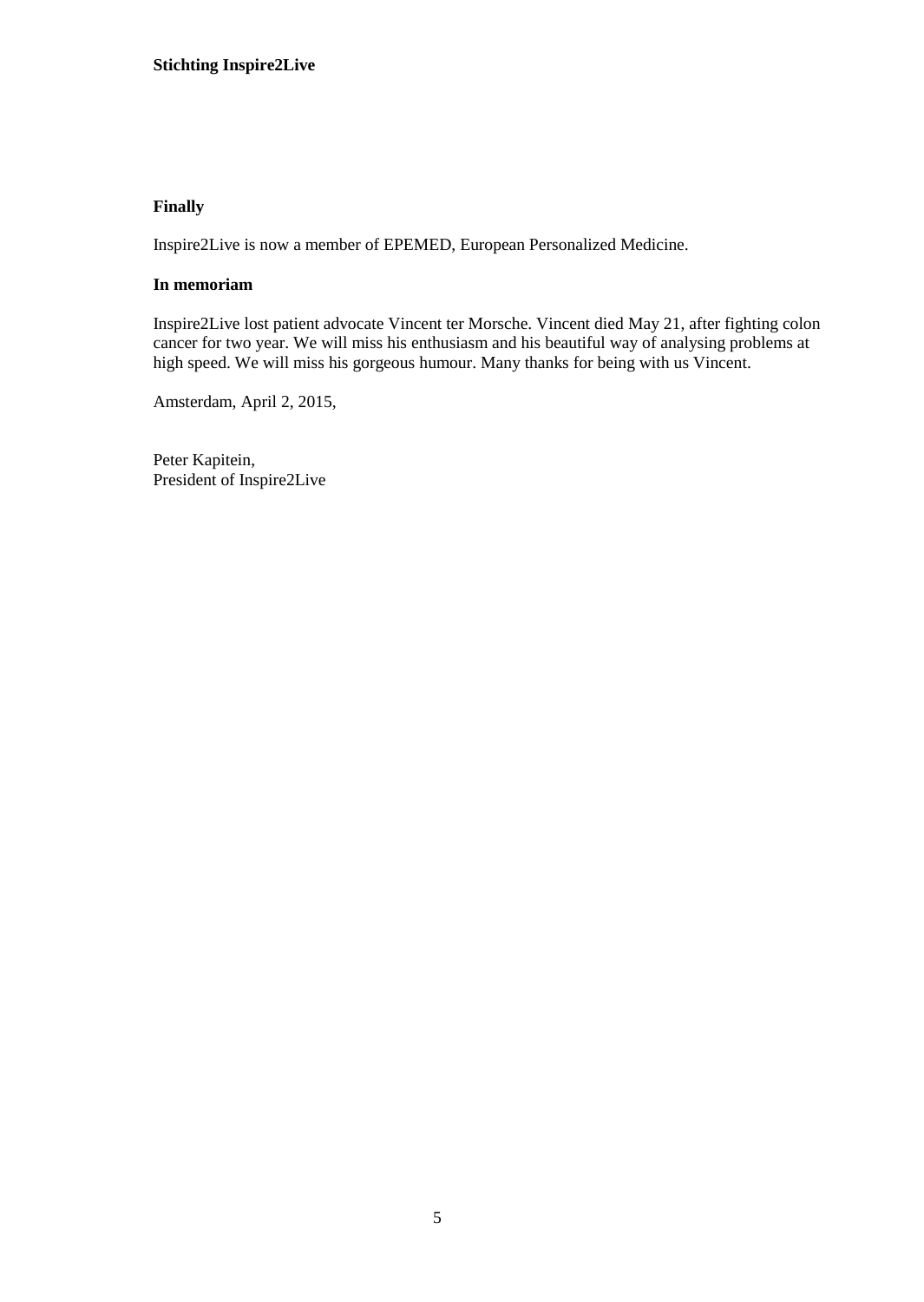#### **Finally**

Inspire2Live is now a member of EPEMED, European Personalized Medicine.

#### **In memoriam**

Inspire2Live lost patient advocate Vincent ter Morsche. Vincent died May 21, after fighting colon cancer for two year. We will miss his enthusiasm and his beautiful way of analysing problems at high speed. We will miss his gorgeous humour. Many thanks for being with us Vincent.

Amsterdam, April 2, 2015,

Peter Kapitein, President of Inspire2Live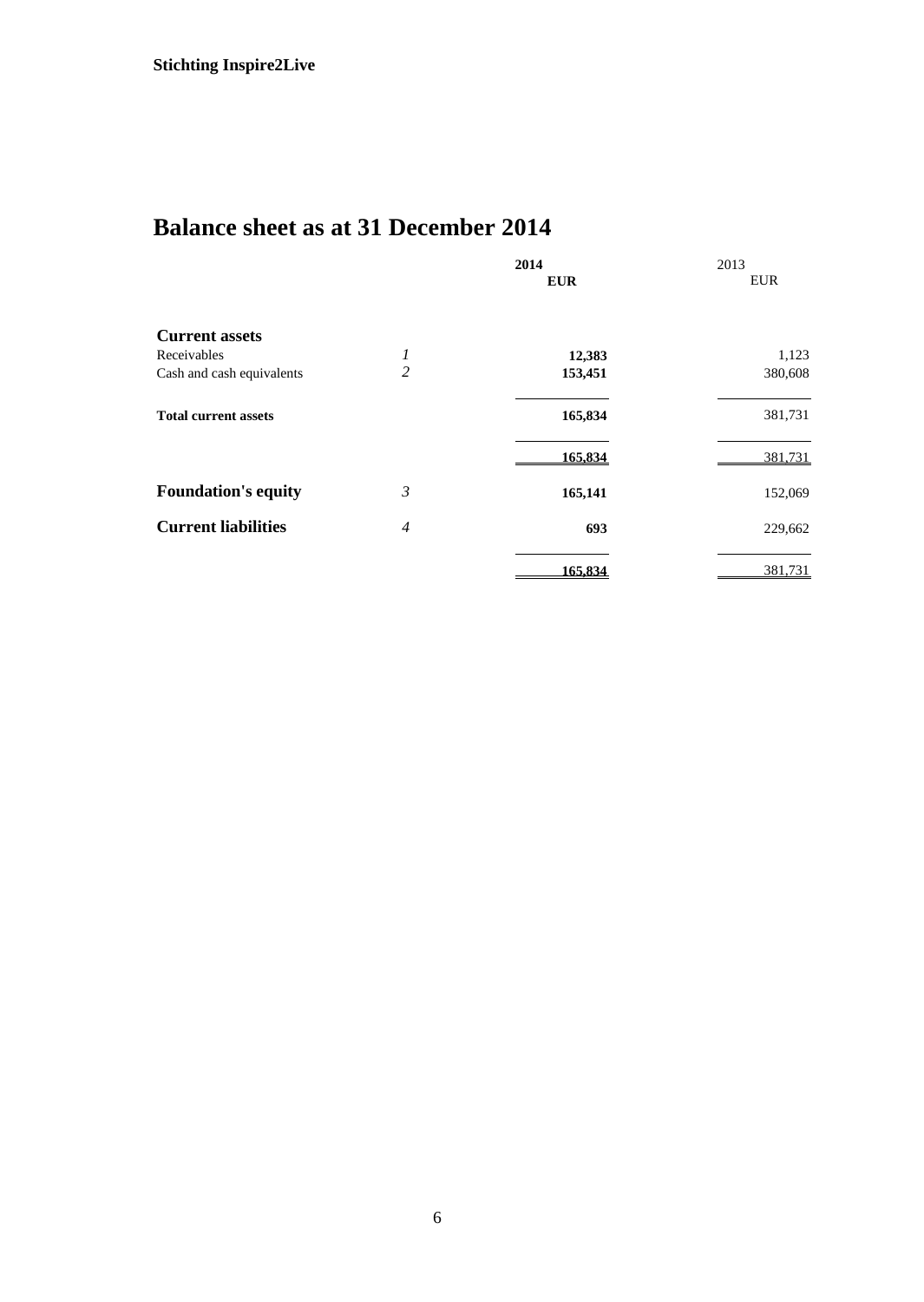# **Balance sheet as at 31 December 2014**

|                             |                | 2014       | 2013       |
|-----------------------------|----------------|------------|------------|
|                             |                | <b>EUR</b> | <b>EUR</b> |
| <b>Current assets</b>       |                |            |            |
| Receivables                 | 1              | 12,383     | 1,123      |
| Cash and cash equivalents   | 2              | 153,451    | 380,608    |
| <b>Total current assets</b> |                | 165,834    | 381,731    |
|                             |                | 165,834    | 381,731    |
| <b>Foundation's equity</b>  | 3              | 165,141    | 152,069    |
| <b>Current liabilities</b>  | $\overline{4}$ | 693        | 229,662    |
|                             |                | 165,834    | 381,731    |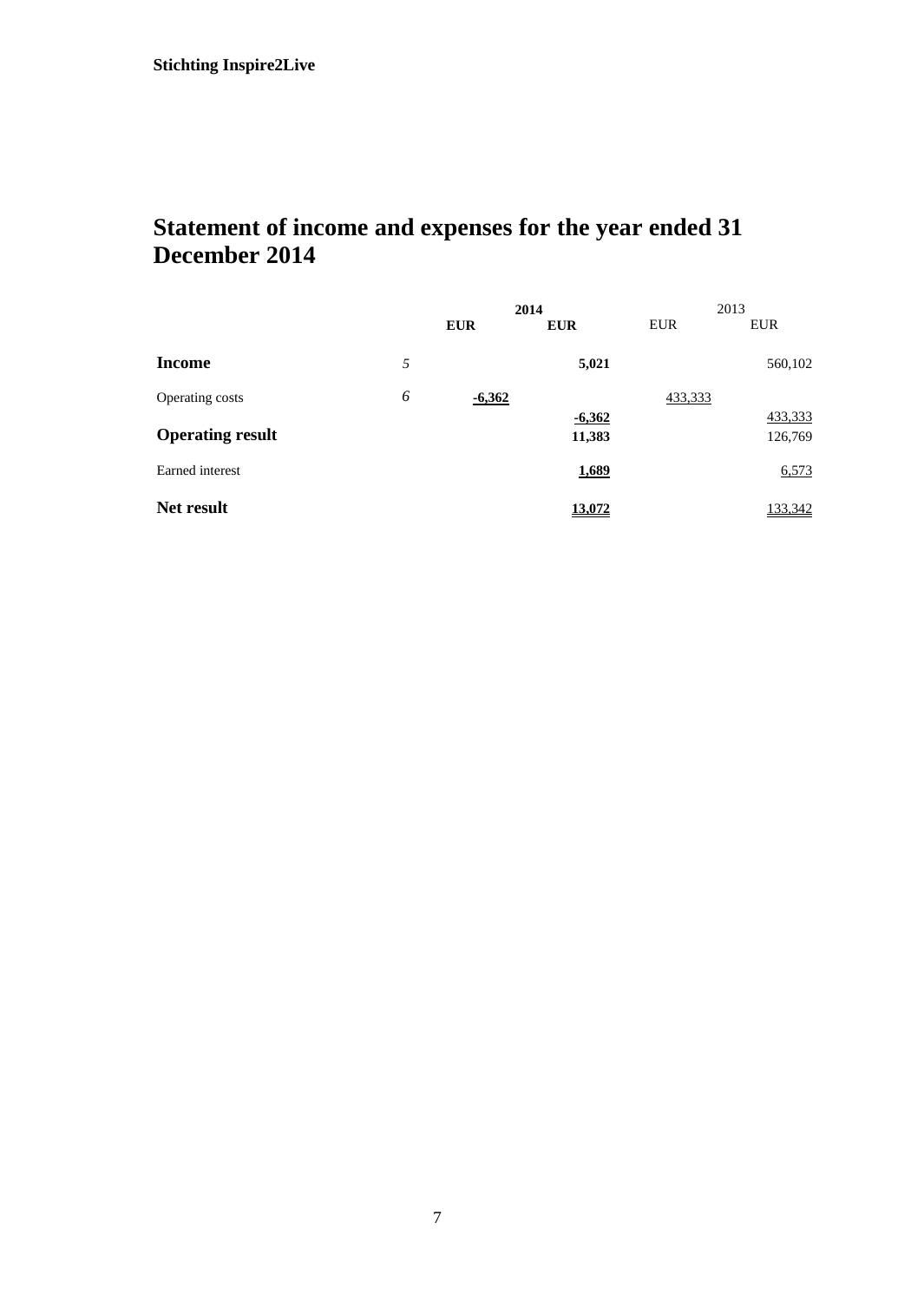# **Statement of income and expenses for the year ended 31 December 2014**

|                         |   | 2014       |            |            | 2013       |
|-------------------------|---|------------|------------|------------|------------|
|                         |   | <b>EUR</b> | <b>EUR</b> | <b>EUR</b> | <b>EUR</b> |
| Income                  | 5 |            | 5,021      |            | 560,102    |
| Operating costs         | 6 | $-6,362$   |            | 433,333    |            |
|                         |   |            | $-6,362$   |            | 433,333    |
| <b>Operating result</b> |   |            | 11,383     |            | 126,769    |
| Earned interest         |   |            | 1,689      |            | 6,573      |
| Net result              |   |            | 13.072     |            | 133,342    |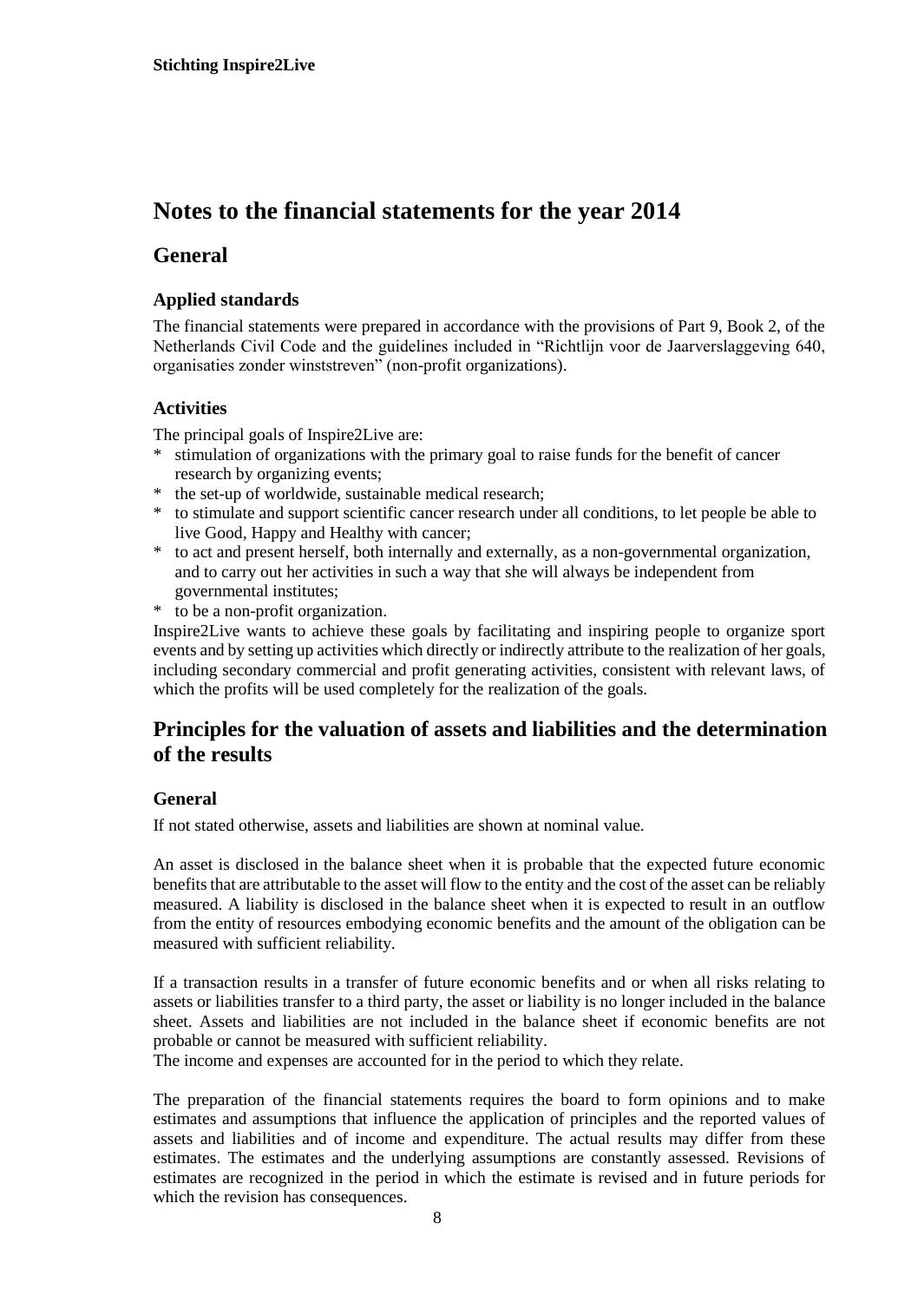## **Notes to the financial statements for the year 2014**

## **General**

### **Applied standards**

The financial statements were prepared in accordance with the provisions of Part 9, Book 2, of the Netherlands Civil Code and the guidelines included in "Richtlijn voor de Jaarverslaggeving 640, organisaties zonder winststreven" (non-profit organizations).

### **Activities**

The principal goals of Inspire2Live are:

- stimulation of organizations with the primary goal to raise funds for the benefit of cancer research by organizing events;
- \* the set-up of worldwide, sustainable medical research;
- \* to stimulate and support scientific cancer research under all conditions, to let people be able to live Good, Happy and Healthy with cancer;
- \* to act and present herself, both internally and externally, as a non-governmental organization, and to carry out her activities in such a way that she will always be independent from governmental institutes;
- \* to be a non-profit organization.

Inspire2Live wants to achieve these goals by facilitating and inspiring people to organize sport events and by setting up activities which directly or indirectly attribute to the realization of her goals, including secondary commercial and profit generating activities, consistent with relevant laws, of which the profits will be used completely for the realization of the goals.

## **Principles for the valuation of assets and liabilities and the determination of the results**

### **General**

If not stated otherwise, assets and liabilities are shown at nominal value.

An asset is disclosed in the balance sheet when it is probable that the expected future economic benefits that are attributable to the asset will flow to the entity and the cost of the asset can be reliably measured. A liability is disclosed in the balance sheet when it is expected to result in an outflow from the entity of resources embodying economic benefits and the amount of the obligation can be measured with sufficient reliability.

If a transaction results in a transfer of future economic benefits and or when all risks relating to assets or liabilities transfer to a third party, the asset or liability is no longer included in the balance sheet. Assets and liabilities are not included in the balance sheet if economic benefits are not probable or cannot be measured with sufficient reliability.

The income and expenses are accounted for in the period to which they relate.

The preparation of the financial statements requires the board to form opinions and to make estimates and assumptions that influence the application of principles and the reported values of assets and liabilities and of income and expenditure. The actual results may differ from these estimates. The estimates and the underlying assumptions are constantly assessed. Revisions of estimates are recognized in the period in which the estimate is revised and in future periods for which the revision has consequences.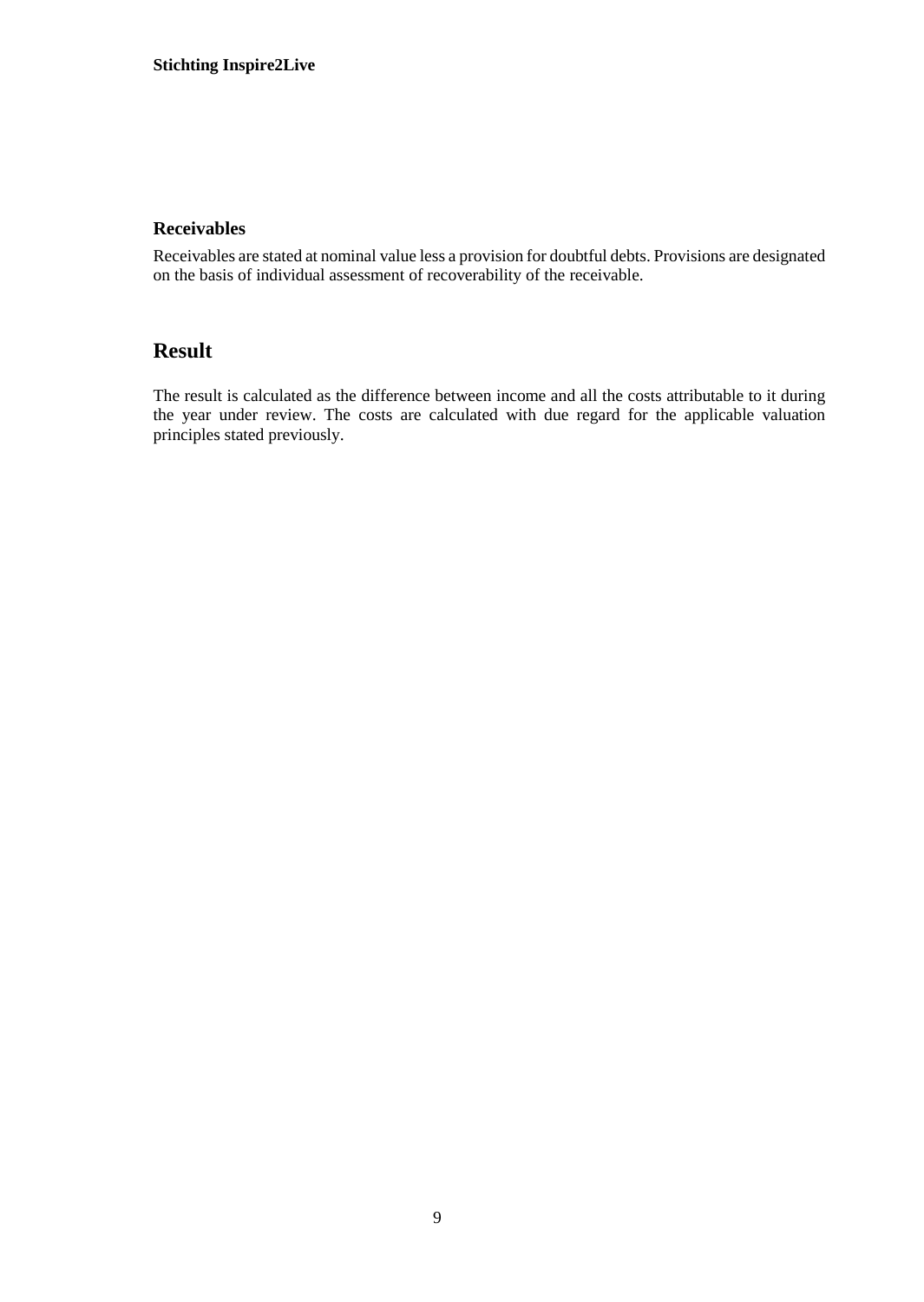### **Receivables**

Receivables are stated at nominal value less a provision for doubtful debts. Provisions are designated on the basis of individual assessment of recoverability of the receivable.

## **Result**

The result is calculated as the difference between income and all the costs attributable to it during the year under review. The costs are calculated with due regard for the applicable valuation principles stated previously.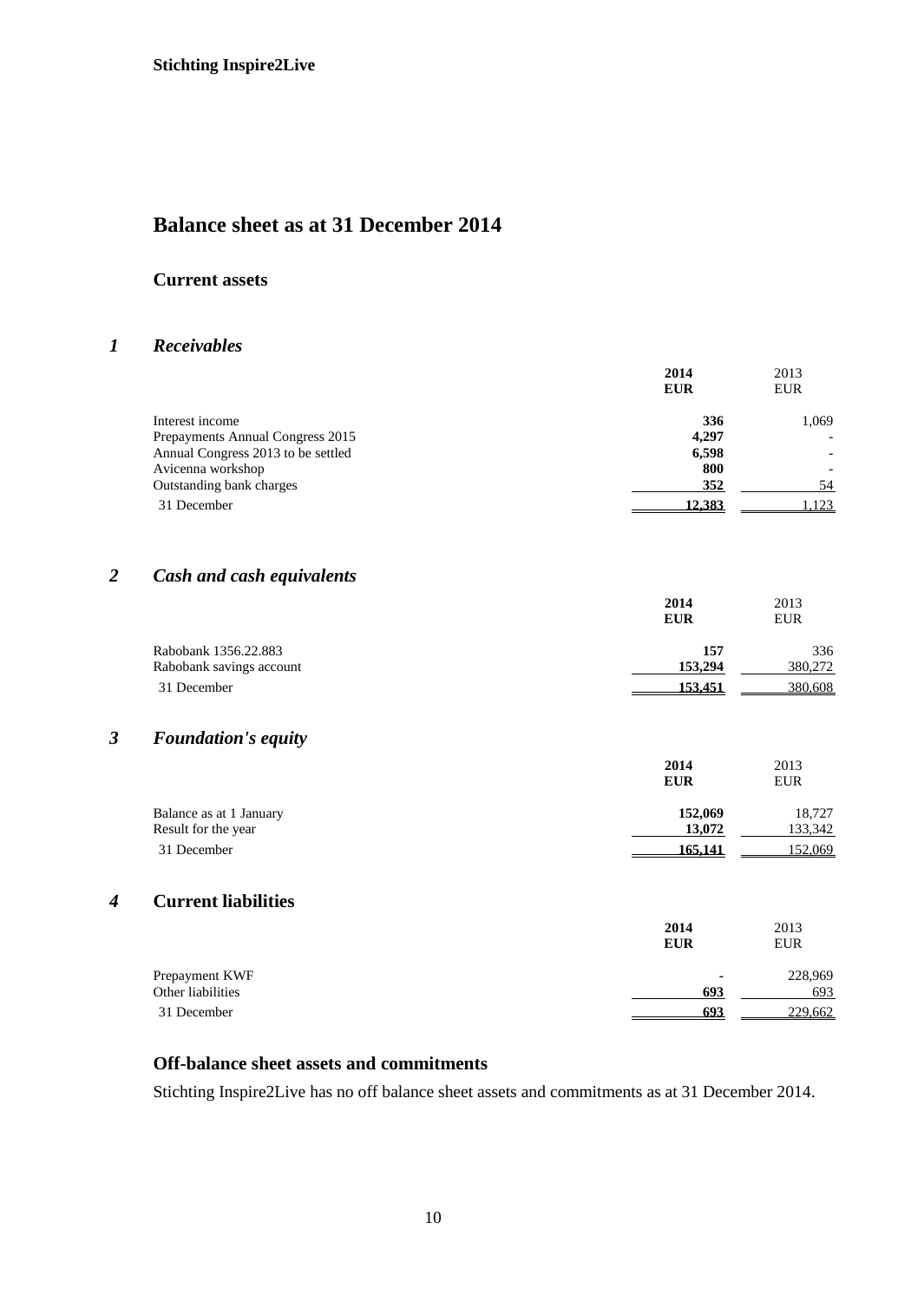## **Balance sheet as at 31 December 2014**

#### **Current assets**

### *1 Receivables*

|                                    | 2014<br><b>EUR</b> | 2013<br><b>EUR</b> |
|------------------------------------|--------------------|--------------------|
| Interest income                    | 336                | 1.069              |
| Prepayments Annual Congress 2015   | 4.297              |                    |
| Annual Congress 2013 to be settled | 6,598              |                    |
| Avicenna workshop                  | 800                |                    |
| Outstanding bank charges           | 352                | 54                 |
| 31 December                        | 12.383             | .123               |

## *2 Cash and cash equivalents*

|                          | 2014<br><b>EUR</b> | 2013<br><b>EUR</b> |
|--------------------------|--------------------|--------------------|
| Rabobank 1356.22.883     | 157                | 336                |
| Rabobank savings account | 153,294            | 380,272            |
| 31 December              | 153.451            | 380,608            |

## *3 Foundation's equity*

|                         | 2014       | 2013       |
|-------------------------|------------|------------|
|                         | <b>EUR</b> | <b>EUR</b> |
| Balance as at 1 January | 152,069    | 18,727     |
| Result for the year     | 13,072     | 133,342    |
| 31 December             | 165.141    | 152,069    |

## *4* **Current liabilities**

|                   | 2014       | 2013       |
|-------------------|------------|------------|
|                   | <b>EUR</b> | <b>EUR</b> |
| Prepayment KWF    | ۰          | 228,969    |
| Other liabilities | 693        | 693        |
| 31 December       | 693        | 229,662    |

## **Off-balance sheet assets and commitments**

Stichting Inspire2Live has no off balance sheet assets and commitments as at 31 December 2014.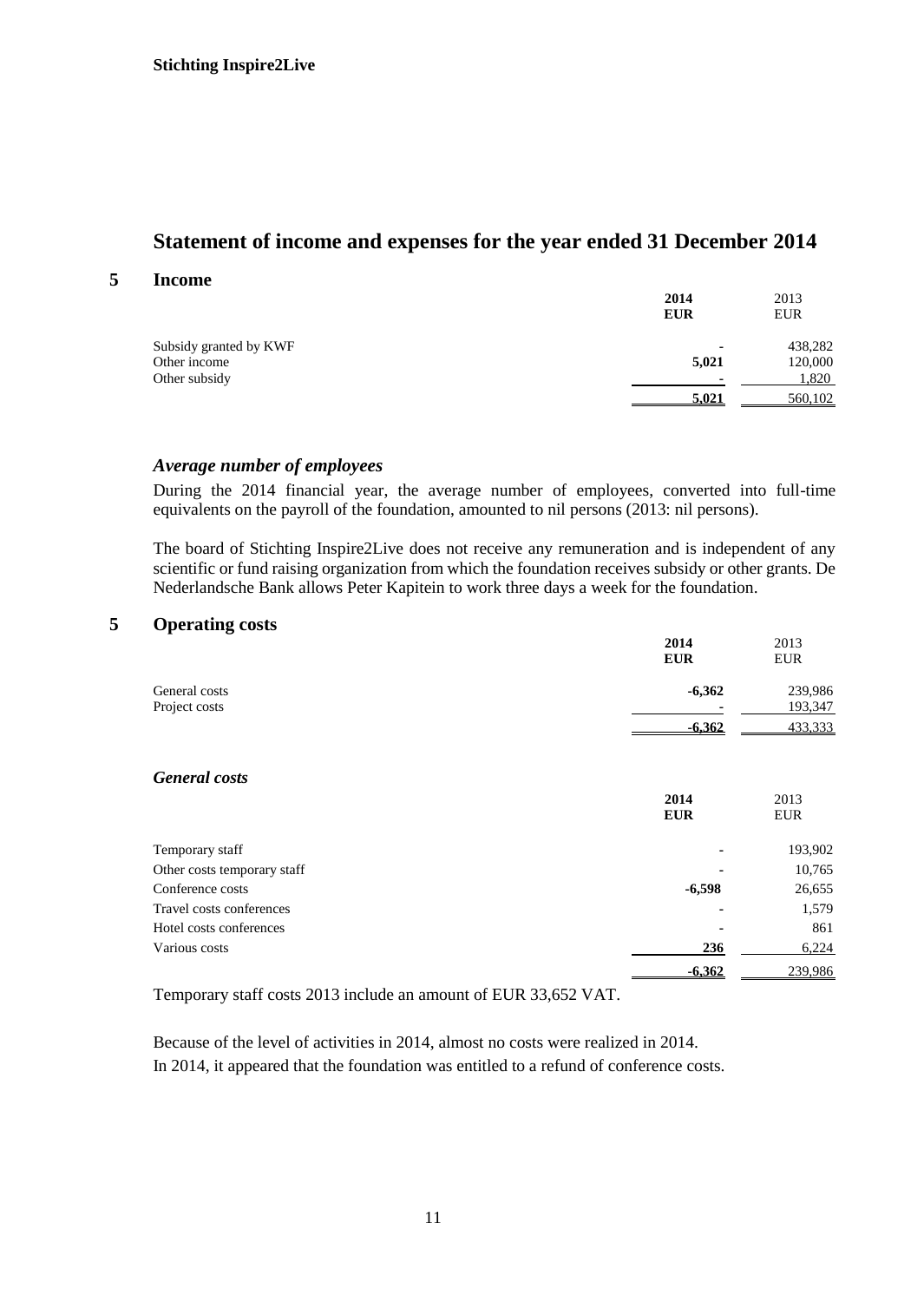## **Statement of income and expenses for the year ended 31 December 2014**

#### **5 Income**

|                        | 2014<br><b>EUR</b> | 2013<br><b>EUR</b> |
|------------------------|--------------------|--------------------|
| Subsidy granted by KWF |                    | 438,282            |
| Other income           | 5,021              | 120,000            |
| Other subsidy          |                    | 1,820              |
|                        | 5.021              | 560,102            |

### *Average number of employees*

During the 2014 financial year, the average number of employees, converted into full-time equivalents on the payroll of the foundation, amounted to nil persons (2013: nil persons).

The board of Stichting Inspire2Live does not receive any remuneration and is independent of any scientific or fund raising organization from which the foundation receives subsidy or other grants. De Nederlandsche Bank allows Peter Kapitein to work three days a week for the foundation.

### **5 Operating costs**

|                                | 2014<br><b>EUR</b> | 2013<br><b>EUR</b> |
|--------------------------------|--------------------|--------------------|
| General costs<br>Project costs | $-6,362$           | 239,986<br>193,347 |
|                                | $-6,362$           | 433,333            |
| <b>General</b> costs           |                    |                    |
|                                | 2014<br><b>EUR</b> | 2013<br><b>EUR</b> |
| Temporary staff                |                    | 193,902            |
| Other costs temporary staff    |                    | 10,765             |
| Conference costs               | $-6,598$           | 26,655             |
| Travel costs conferences       |                    | 1,579              |
| Hotel costs conferences        |                    | 861                |
| Various costs                  | 236                | 6,224              |
|                                | $-6,362$           | 239,986            |

Temporary staff costs 2013 include an amount of EUR 33,652 VAT.

Because of the level of activities in 2014, almost no costs were realized in 2014. In 2014, it appeared that the foundation was entitled to a refund of conference costs.